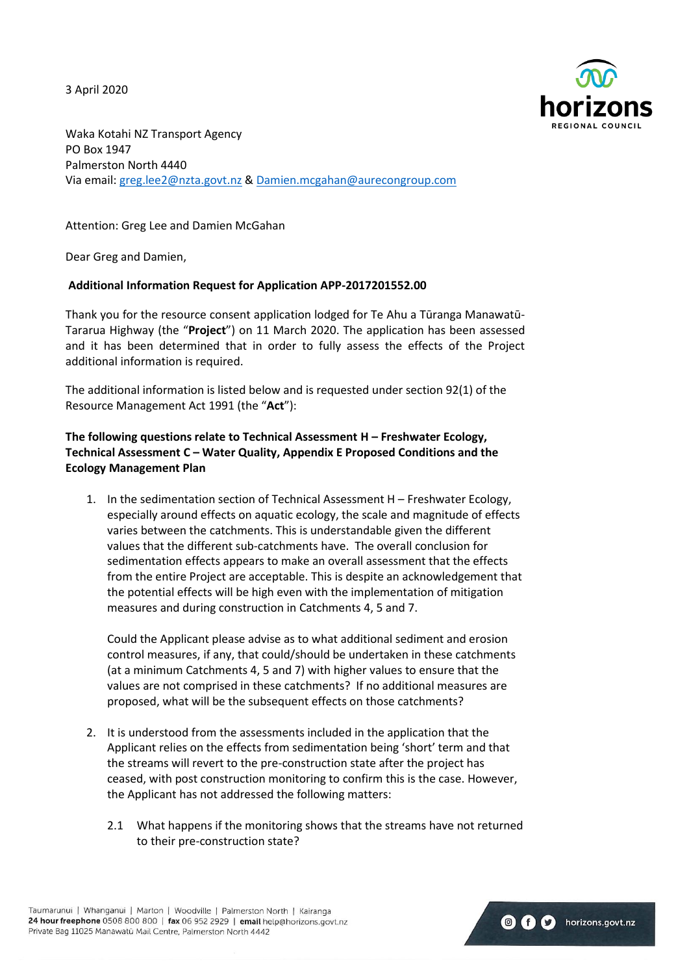3 April 2020



**O** f **C** horizons.govt.nz

Waka Kotahi NZ Transport Agency PO Box 1947 Palmerston North 4440 Via email: [greg.lee2@nzta.govt.nz](mailto:greg.lee2@nzta.govt.nz) [& Damien.mcgahan@aurecongroup.com](mailto:Damien.mcgahan@aurecongroup.com) 

Attention: Greg Lee and Damien McGahan

Dear Greg and Damien,

#### **Additional Information Request for Application APP-2017201552.00**

Thank you for the resource consent application lodged for Te Ahu a Tūranga Manawatū-Tararua Highway (the "**Project**") on 11 March 2020. The application has been assessed and it has been determined that in order to fully assess the effects of the Project additional information is required.

The additional information is listed below and is requested under section 92(1) of the Resource Management Act 1991 (the "**Act**"):

# **The following questions relate to Technical Assessment H – Freshwater Ecology, Technical Assessment C – Water Quality, Appendix E Proposed Conditions and the Ecology Management Plan**

1. In the sedimentation section of Technical Assessment H – Freshwater Ecology, especially around effects on aquatic ecology, the scale and magnitude of effects varies between the catchments. This is understandable given the different values that the different sub-catchments have. The overall conclusion for sedimentation effects appears to make an overall assessment that the effects from the entire Project are acceptable. This is despite an acknowledgement that the potential effects will be high even with the implementation of mitigation measures and during construction in Catchments 4, 5 and 7.

Could the Applicant please advise as to what additional sediment and erosion control measures, if any, that could/should be undertaken in these catchments (at a minimum Catchments 4, 5 and 7) with higher values to ensure that the values are not comprised in these catchments? If no additional measures are proposed, what will be the subsequent effects on those catchments?

- 2. It is understood from the assessments included in the application that the Applicant relies on the effects from sedimentation being 'short' term and that the streams will revert to the pre-construction state after the project has ceased, with post construction monitoring to confirm this is the case. However, the Applicant has not addressed the following matters:
	- 2.1 What happens if the monitoring shows that the streams have not returned to their pre-construction state?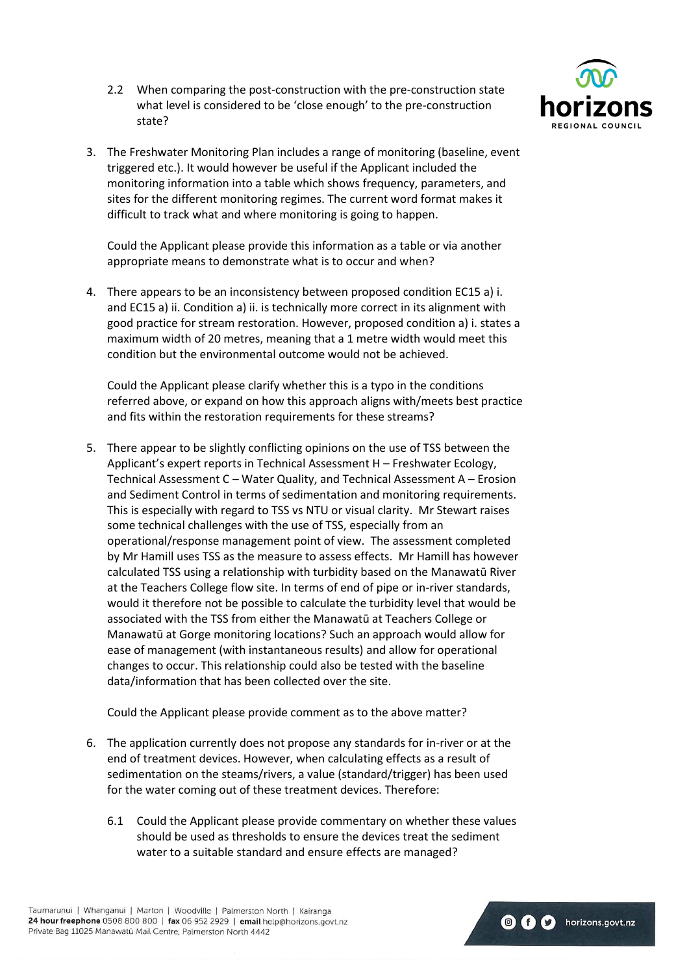2.2 When comparing the post-construction with the pre-construction state what level is considered to be 'close enough' to the pre-construction state?



Could the Applicant please provide this information as a table or via another appropriate means to demonstrate what is to occur and when?

4. There appears to be an inconsistency between proposed condition EC15 a) i. and EC15 a) ii. Condition a) ii. is technically more correct in its alignment with good practice for stream restoration. However, proposed condition a) i. states a maximum width of 20 metres, meaning that a 1 metre width would meet this condition but the environmental outcome would not be achieved.

Could the Applicant please clarify whether this is a typo in the conditions referred above, or expand on how this approach aligns with/meets best practice and fits within the restoration requirements for these streams?

5. There appear to be slightly conflicting opinions on the use of TSS between the Applicant's expert reports in Technical Assessment H – Freshwater Ecology, Technical Assessment C – Water Quality, and Technical Assessment A – Erosion and Sediment Control in terms of sedimentation and monitoring requirements. This is especially with regard to TSS vs NTU or visual clarity. Mr Stewart raises some technical challenges with the use of TSS, especially from an operational/response management point of view. The assessment completed by Mr Hamill uses TSS as the measure to assess effects. Mr Hamill has however calculated TSS using a relationship with turbidity based on the Manawatū River at the Teachers College flow site. In terms of end of pipe or in-river standards, would it therefore not be possible to calculate the turbidity level that would be associated with the TSS from either the Manawatū at Teachers College or Manawatū at Gorge monitoring locations? Such an approach would allow for ease of management (with instantaneous results) and allow for operational changes to occur. This relationship could also be tested with the baseline data/information that has been collected over the site.

Could the Applicant please provide comment as to the above matter?

- 6. The application currently does not propose any standards for in-river or at the end of treatment devices. However, when calculating effects as a result of sedimentation on the steams/rivers, a value (standard/trigger) has been used for the water coming out of these treatment devices. Therefore:
	- 6.1 Could the Applicant please provide commentary on whether these values should be used as thresholds to ensure the devices treat the sediment water to a suitable standard and ensure effects are managed?



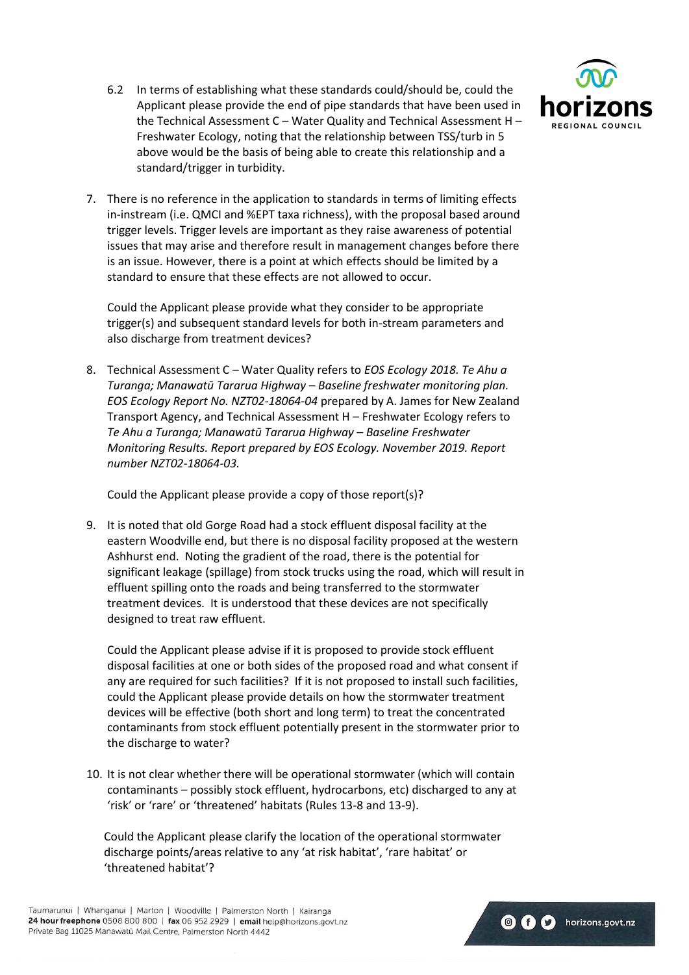

- 6.2 In terms of establishing what these standards could/should be, could the Applicant please provide the end of pipe standards that have been used in the Technical Assessment C – Water Quality and Technical Assessment H – Freshwater Ecology, noting that the relationship between TSS/turb in 5 above would be the basis of being able to create this relationship and a standard/trigger in turbidity.
- 7. There is no reference in the application to standards in terms of limiting effects in-instream (i.e. QMCI and %EPT taxa richness), with the proposal based around trigger levels. Trigger levels are important as they raise awareness of potential issues that may arise and therefore result in management changes before there is an issue. However, there is a point at which effects should be limited by a standard to ensure that these effects are not allowed to occur.

Could the Applicant please provide what they consider to be appropriate trigger(s) and subsequent standard levels for both in-stream parameters and also discharge from treatment devices?

8. Technical Assessment C – Water Quality refers to *EOS Ecology 2018. Te Ahu a Turanga; Manawatū Tararua Highway – Baseline freshwater monitoring plan. EOS Ecology Report No. NZT02-18064-04* prepared by A. James for New Zealand Transport Agency, and Technical Assessment H – Freshwater Ecology refers to *Te Ahu a Turanga; Manawatū Tararua Highway – Baseline Freshwater Monitoring Results. Report prepared by EOS Ecology. November 2019. Report number NZT02-18064-03.* 

Could the Applicant please provide a copy of those report(s)?

9. It is noted that old Gorge Road had a stock effluent disposal facility at the eastern Woodville end, but there is no disposal facility proposed at the western Ashhurst end. Noting the gradient of the road, there is the potential for significant leakage (spillage) from stock trucks using the road, which will result in effluent spilling onto the roads and being transferred to the stormwater treatment devices. It is understood that these devices are not specifically designed to treat raw effluent.

Could the Applicant please advise if it is proposed to provide stock effluent disposal facilities at one or both sides of the proposed road and what consent if any are required for such facilities? If it is not proposed to install such facilities, could the Applicant please provide details on how the stormwater treatment devices will be effective (both short and long term) to treat the concentrated contaminants from stock effluent potentially present in the stormwater prior to the discharge to water?

10. It is not clear whether there will be operational stormwater (which will contain contaminants – possibly stock effluent, hydrocarbons, etc) discharged to any at 'risk' or 'rare' or 'threatened' habitats (Rules 13-8 and 13-9).

Could the Applicant please clarify the location of the operational stormwater discharge points/areas relative to any 'at risk habitat', 'rare habitat' or 'threatened habitat'?

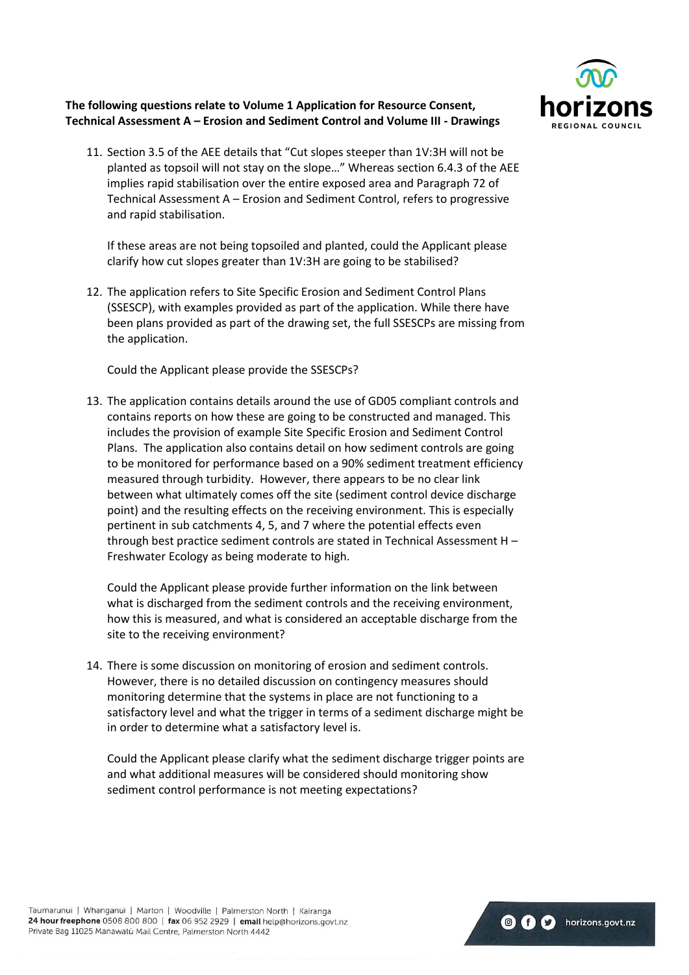

# **The following questions relate to Volume 1 Application for Resource Consent, Technical Assessment A – Erosion and Sediment Control and Volume III - Drawings**

11. Section 3.5 of the AEE details that "Cut slopes steeper than 1V:3H will not be planted as topsoil will not stay on the slope…" Whereas section 6.4.3 of the AEE implies rapid stabilisation over the entire exposed area and Paragraph 72 of Technical Assessment A – Erosion and Sediment Control, refers to progressive and rapid stabilisation.

If these areas are not being topsoiled and planted, could the Applicant please clarify how cut slopes greater than 1V:3H are going to be stabilised?

12. The application refers to Site Specific Erosion and Sediment Control Plans (SSESCP), with examples provided as part of the application. While there have been plans provided as part of the drawing set, the full SSESCPs are missing from the application.

Could the Applicant please provide the SSESCPs?

13. The application contains details around the use of GD05 compliant controls and contains reports on how these are going to be constructed and managed. This includes the provision of example Site Specific Erosion and Sediment Control Plans. The application also contains detail on how sediment controls are going to be monitored for performance based on a 90% sediment treatment efficiency measured through turbidity. However, there appears to be no clear link between what ultimately comes off the site (sediment control device discharge point) and the resulting effects on the receiving environment. This is especially pertinent in sub catchments 4, 5, and 7 where the potential effects even through best practice sediment controls are stated in Technical Assessment H – Freshwater Ecology as being moderate to high.

Could the Applicant please provide further information on the link between what is discharged from the sediment controls and the receiving environment, how this is measured, and what is considered an acceptable discharge from the site to the receiving environment?

14. There is some discussion on monitoring of erosion and sediment controls. However, there is no detailed discussion on contingency measures should monitoring determine that the systems in place are not functioning to a satisfactory level and what the trigger in terms of a sediment discharge might be in order to determine what a satisfactory level is.

Could the Applicant please clarify what the sediment discharge trigger points are and what additional measures will be considered should monitoring show sediment control performance is not meeting expectations?

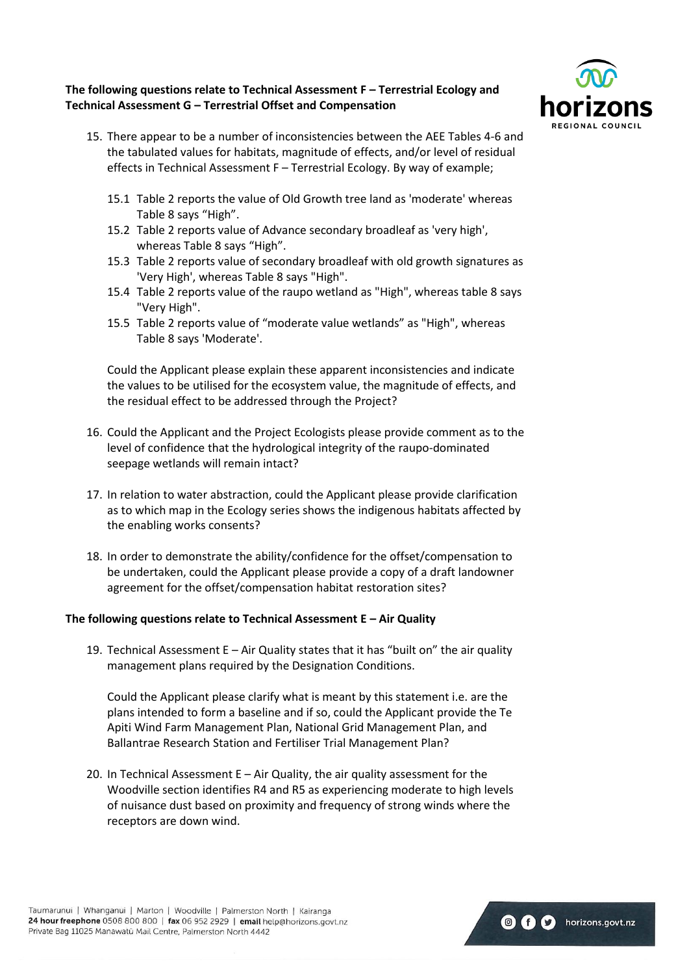### **The following questions relate to Technical Assessment F – Terrestrial Ecology and Technical Assessment G – Terrestrial Offset and Compensation**



- 15. There appear to be a number of inconsistencies between the AEE Tables 4-6 and the tabulated values for habitats, magnitude of effects, and/or level of residual effects in Technical Assessment F – Terrestrial Ecology. By way of example;
	- 15.1 Table 2 reports the value of Old Growth tree land as 'moderate' whereas Table 8 says "High".
	- 15.2 Table 2 reports value of Advance secondary broadleaf as 'very high', whereas Table 8 says "High".
	- 15.3 Table 2 reports value of secondary broadleaf with old growth signatures as 'Very High', whereas Table 8 says "High".
	- 15.4 Table 2 reports value of the raupo wetland as "High", whereas table 8 says "Very High".
	- 15.5 Table 2 reports value of "moderate value wetlands" as "High", whereas Table 8 says 'Moderate'.

Could the Applicant please explain these apparent inconsistencies and indicate the values to be utilised for the ecosystem value, the magnitude of effects, and the residual effect to be addressed through the Project?

- 16. Could the Applicant and the Project Ecologists please provide comment as to the level of confidence that the hydrological integrity of the raupo-dominated seepage wetlands will remain intact?
- 17. In relation to water abstraction, could the Applicant please provide clarification as to which map in the Ecology series shows the indigenous habitats affected by the enabling works consents?
- 18. In order to demonstrate the ability/confidence for the offset/compensation to be undertaken, could the Applicant please provide a copy of a draft landowner agreement for the offset/compensation habitat restoration sites?

# **The following questions relate to Technical Assessment E – Air Quality**

19. Technical Assessment  $E - Air$  Quality states that it has "built on" the air quality management plans required by the Designation Conditions.

Could the Applicant please clarify what is meant by this statement i.e. are the plans intended to form a baseline and if so, could the Applicant provide the Te Apiti Wind Farm Management Plan, National Grid Management Plan, and Ballantrae Research Station and Fertiliser Trial Management Plan?

20. In Technical Assessment E – Air Quality, the air quality assessment for the Woodville section identifies R4 and R5 as experiencing moderate to high levels of nuisance dust based on proximity and frequency of strong winds where the receptors are down wind.

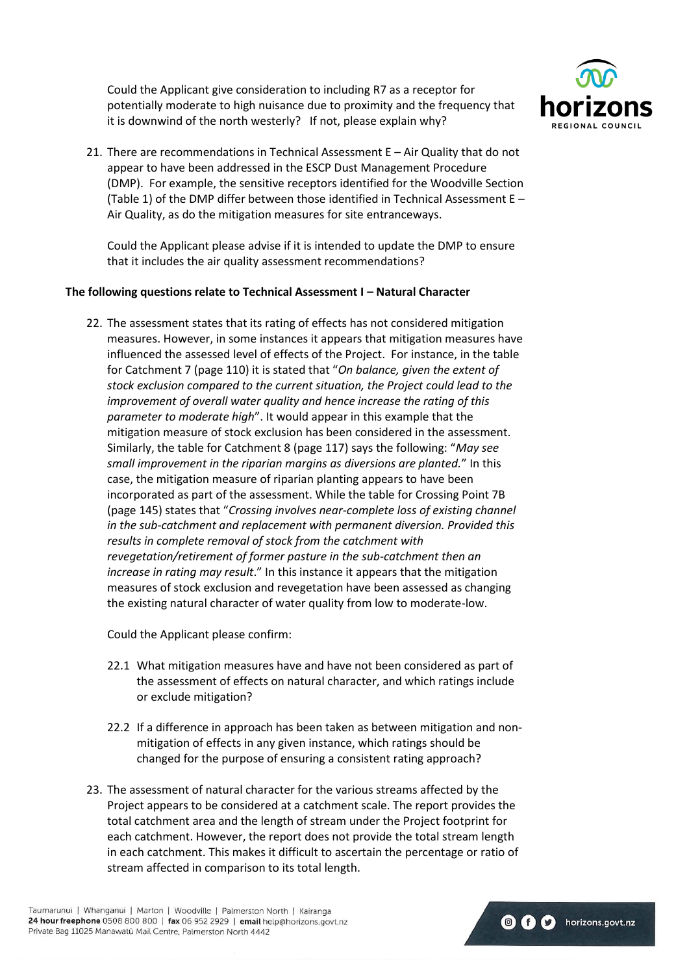Could the Applicant give consideration to including R7 as a receptor for potentially moderate to high nuisance due to proximity and the frequency that it is downwind of the north westerly? If not, please explain why?



21. There are recommendations in Technical Assessment E – Air Quality that do not appear to have been addressed in the ESCP Dust Management Procedure (DMP). For example, the sensitive receptors identified for the Woodville Section (Table 1) of the DMP differ between those identified in Technical Assessment E – Air Quality, as do the mitigation measures for site entranceways.

Could the Applicant please advise if it is intended to update the DMP to ensure that it includes the air quality assessment recommendations?

### **The following questions relate to Technical Assessment I – Natural Character**

22. The assessment states that its rating of effects has not considered mitigation measures. However, in some instances it appears that mitigation measures have influenced the assessed level of effects of the Project. For instance, in the table for Catchment 7 (page 110) it is stated that "*On balance, given the extent of stock exclusion compared to the current situation, the Project could lead to the improvement of overall water quality and hence increase the rating of this parameter to moderate high*". It would appear in this example that the mitigation measure of stock exclusion has been considered in the assessment. Similarly, the table for Catchment 8 (page 117) says the following: "*May see small improvement in the riparian margins as diversions are planted.*" In this case, the mitigation measure of riparian planting appears to have been incorporated as part of the assessment. While the table for Crossing Point 7B (page 145) states that "*Crossing involves near-complete loss of existing channel in the sub-catchment and replacement with permanent diversion. Provided this results in complete removal of stock from the catchment with revegetation/retirement of former pasture in the sub-catchment then an increase in rating may result*." In this instance it appears that the mitigation measures of stock exclusion and revegetation have been assessed as changing the existing natural character of water quality from low to moderate-low.

Could the Applicant please confirm:

- 22.1 What mitigation measures have and have not been considered as part of the assessment of effects on natural character, and which ratings include or exclude mitigation?
- 22.2 If a difference in approach has been taken as between mitigation and nonmitigation of effects in any given instance, which ratings should be changed for the purpose of ensuring a consistent rating approach?
- 23. The assessment of natural character for the various streams affected by the Project appears to be considered at a catchment scale. The report provides the total catchment area and the length of stream under the Project footprint for each catchment. However, the report does not provide the total stream length in each catchment. This makes it difficult to ascertain the percentage or ratio of stream affected in comparison to its total length.

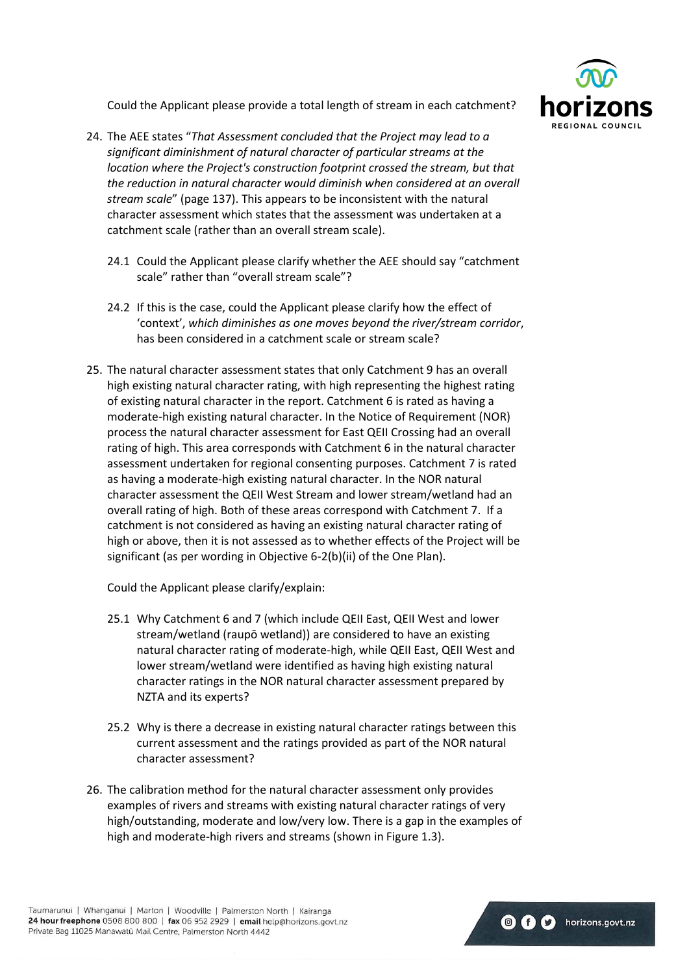

Could the Applicant please provide a total length of stream in each catchment?

- 24. The AEE states "*That Assessment concluded that the Project may lead to a significant diminishment of natural character of particular streams at the location where the Project's construction footprint crossed the stream, but that the reduction in natural character would diminish when considered at an overall stream scale*" (page 137). This appears to be inconsistent with the natural character assessment which states that the assessment was undertaken at a catchment scale (rather than an overall stream scale).
	- 24.1 Could the Applicant please clarify whether the AEE should say "catchment scale" rather than "overall stream scale"?
	- 24.2 If this is the case, could the Applicant please clarify how the effect of 'context', *which diminishes as one moves beyond the river/stream corridor*, has been considered in a catchment scale or stream scale?
- 25. The natural character assessment states that only Catchment 9 has an overall high existing natural character rating, with high representing the highest rating of existing natural character in the report. Catchment 6 is rated as having a moderate-high existing natural character. In the Notice of Requirement (NOR) process the natural character assessment for East QEII Crossing had an overall rating of high. This area corresponds with Catchment 6 in the natural character assessment undertaken for regional consenting purposes. Catchment 7 is rated as having a moderate-high existing natural character. In the NOR natural character assessment the QEII West Stream and lower stream/wetland had an overall rating of high. Both of these areas correspond with Catchment 7. If a catchment is not considered as having an existing natural character rating of high or above, then it is not assessed as to whether effects of the Project will be significant (as per wording in Objective 6-2(b)(ii) of the One Plan).

Could the Applicant please clarify/explain:

- 25.1 Why Catchment 6 and 7 (which include QEII East, QEII West and lower stream/wetland (raupō wetland)) are considered to have an existing natural character rating of moderate-high, while QEII East, QEII West and lower stream/wetland were identified as having high existing natural character ratings in the NOR natural character assessment prepared by NZTA and its experts?
- 25.2 Why is there a decrease in existing natural character ratings between this current assessment and the ratings provided as part of the NOR natural character assessment?
- 26. The calibration method for the natural character assessment only provides examples of rivers and streams with existing natural character ratings of very high/outstanding, moderate and low/very low. There is a gap in the examples of high and moderate-high rivers and streams (shown in Figure 1.3).

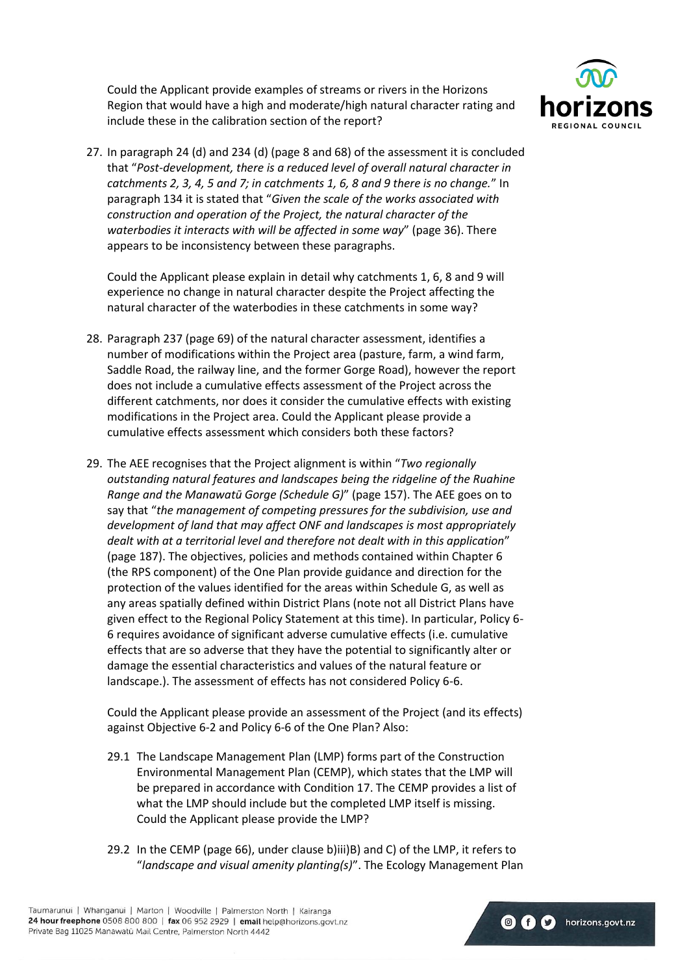Could the Applicant provide examples of streams or rivers in the Horizons Region that would have a high and moderate/high natural character rating and include these in the calibration section of the report?



**O** f **C** horizons.govt.nz

27. In paragraph 24 (d) and 234 (d) (page 8 and 68) of the assessment it is concluded that "*Post-development, there is a reduced level of overall natural character in catchments 2, 3, 4, 5 and 7; in catchments 1, 6, 8 and 9 there is no change.*" In paragraph 134 it is stated that "*Given the scale of the works associated with construction and operation of the Project, the natural character of the waterbodies it interacts with will be affected in some way*" (page 36). There appears to be inconsistency between these paragraphs.

Could the Applicant please explain in detail why catchments 1, 6, 8 and 9 will experience no change in natural character despite the Project affecting the natural character of the waterbodies in these catchments in some way?

- 28. Paragraph 237 (page 69) of the natural character assessment, identifies a number of modifications within the Project area (pasture, farm, a wind farm, Saddle Road, the railway line, and the former Gorge Road), however the report does not include a cumulative effects assessment of the Project across the different catchments, nor does it consider the cumulative effects with existing modifications in the Project area. Could the Applicant please provide a cumulative effects assessment which considers both these factors?
- 29. The AEE recognises that the Project alignment is within "*Two regionally outstanding natural features and landscapes being the ridgeline of the Ruahine Range and the Manawatū Gorge (Schedule G)*" (page 157). The AEE goes on to say that "*the management of competing pressures for the subdivision, use and development of land that may affect ONF and landscapes is most appropriately dealt with at a territorial level and therefore not dealt with in this application*" (page 187). The objectives, policies and methods contained within Chapter 6 (the RPS component) of the One Plan provide guidance and direction for the protection of the values identified for the areas within Schedule G, as well as any areas spatially defined within District Plans (note not all District Plans have given effect to the Regional Policy Statement at this time). In particular, Policy 6- 6 requires avoidance of significant adverse cumulative effects (i.e. cumulative effects that are so adverse that they have the potential to significantly alter or damage the essential characteristics and values of the natural feature or landscape.). The assessment of effects has not considered Policy 6-6.

Could the Applicant please provide an assessment of the Project (and its effects) against Objective 6-2 and Policy 6-6 of the One Plan? Also:

- 29.1 The Landscape Management Plan (LMP) forms part of the Construction Environmental Management Plan (CEMP), which states that the LMP will be prepared in accordance with Condition 17. The CEMP provides a list of what the LMP should include but the completed LMP itself is missing. Could the Applicant please provide the LMP?
- 29.2 In the CEMP (page 66), under clause b)iii)B) and C) of the LMP, it refers to "*landscape and visual amenity planting(s)*". The Ecology Management Plan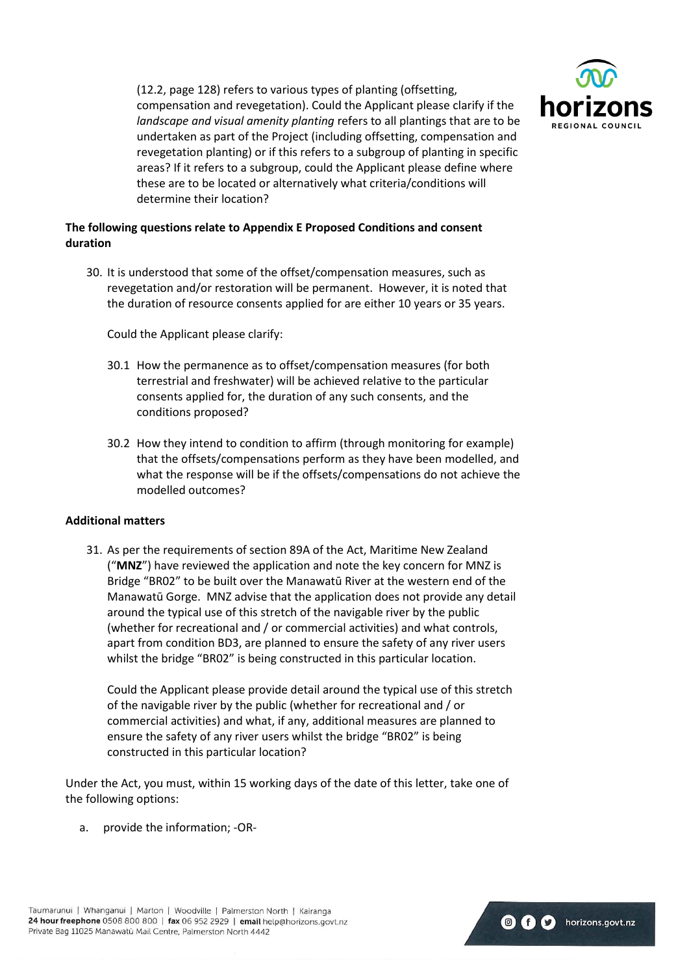

(12.2, page 128) refers to various types of planting (offsetting, compensation and revegetation). Could the Applicant please clarify if the *landscape and visual amenity planting* refers to all plantings that are to be undertaken as part of the Project (including offsetting, compensation and revegetation planting) or if this refers to a subgroup of planting in specific areas? If it refers to a subgroup, could the Applicant please define where these are to be located or alternatively what criteria/conditions will determine their location?

## **The following questions relate to Appendix E Proposed Conditions and consent duration**

30. It is understood that some of the offset/compensation measures, such as revegetation and/or restoration will be permanent. However, it is noted that the duration of resource consents applied for are either 10 years or 35 years.

Could the Applicant please clarify:

- 30.1 How the permanence as to offset/compensation measures (for both terrestrial and freshwater) will be achieved relative to the particular consents applied for, the duration of any such consents, and the conditions proposed?
- 30.2 How they intend to condition to affirm (through monitoring for example) that the offsets/compensations perform as they have been modelled, and what the response will be if the offsets/compensations do not achieve the modelled outcomes?

#### **Additional matters**

31. As per the requirements of section 89A of the Act, Maritime New Zealand ("**MNZ**") have reviewed the application and note the key concern for MNZ is Bridge "BR02" to be built over the Manawatū River at the western end of the Manawatū Gorge. MNZ advise that the application does not provide any detail around the typical use of this stretch of the navigable river by the public (whether for recreational and / or commercial activities) and what controls, apart from condition BD3, are planned to ensure the safety of any river users whilst the bridge "BR02" is being constructed in this particular location.

Could the Applicant please provide detail around the typical use of this stretch of the navigable river by the public (whether for recreational and / or commercial activities) and what, if any, additional measures are planned to ensure the safety of any river users whilst the bridge "BR02" is being constructed in this particular location?

Under the Act, you must, within 15 working days of the date of this letter, take one of the following options:

a. provide the information; -OR-